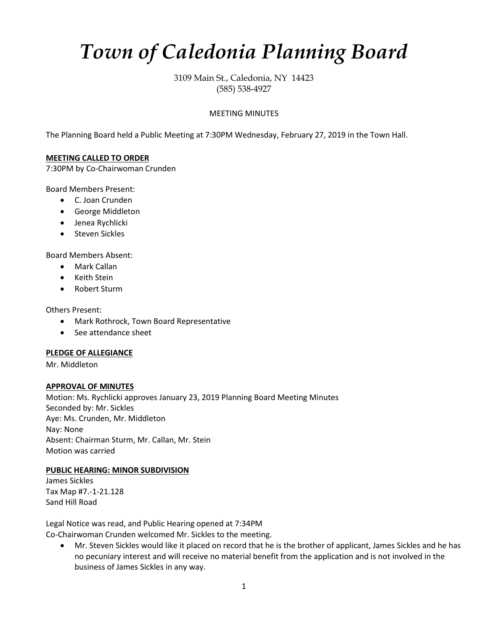# *Town of Caledonia Planning Board*

3109 Main St., Caledonia, NY 14423 (585) 538-4927

# MEETING MINUTES

The Planning Board held a Public Meeting at 7:30PM Wednesday, February 27, 2019 in the Town Hall.

## **MEETING CALLED TO ORDER**

7:30PM by Co-Chairwoman Crunden

Board Members Present:

- C. Joan Crunden
- George Middleton
- Jenea Rychlicki
- Steven Sickles

Board Members Absent:

- Mark Callan
- Keith Stein
- Robert Sturm

Others Present:

- Mark Rothrock, Town Board Representative
- See attendance sheet

## **PLEDGE OF ALLEGIANCE**

Mr. Middleton

# **APPROVAL OF MINUTES**

Motion: Ms. Rychlicki approves January 23, 2019 Planning Board Meeting Minutes Seconded by: Mr. Sickles Aye: Ms. Crunden, Mr. Middleton Nay: None Absent: Chairman Sturm, Mr. Callan, Mr. Stein Motion was carried

# **PUBLIC HEARING: MINOR SUBDIVISION**

James Sickles Tax Map #7.-1-21.128 Sand Hill Road

Legal Notice was read, and Public Hearing opened at 7:34PM Co-Chairwoman Crunden welcomed Mr. Sickles to the meeting.

• Mr. Steven Sickles would like it placed on record that he is the brother of applicant, James Sickles and he has no pecuniary interest and will receive no material benefit from the application and is not involved in the business of James Sickles in any way.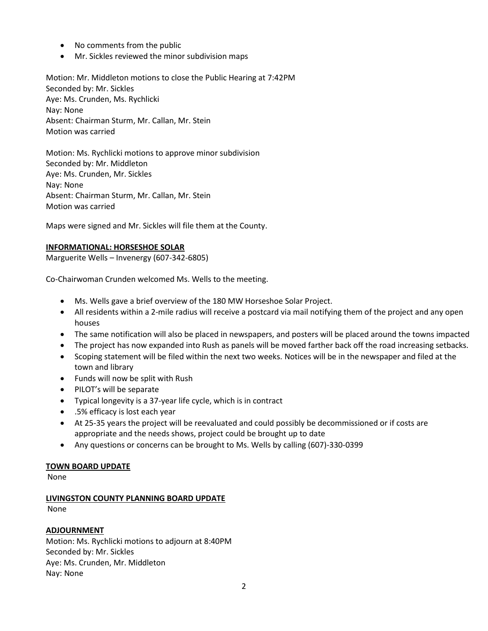- No comments from the public
- Mr. Sickles reviewed the minor subdivision maps

Motion: Mr. Middleton motions to close the Public Hearing at 7:42PM Seconded by: Mr. Sickles Aye: Ms. Crunden, Ms. Rychlicki Nay: None Absent: Chairman Sturm, Mr. Callan, Mr. Stein Motion was carried

Motion: Ms. Rychlicki motions to approve minor subdivision Seconded by: Mr. Middleton Aye: Ms. Crunden, Mr. Sickles Nay: None Absent: Chairman Sturm, Mr. Callan, Mr. Stein Motion was carried

Maps were signed and Mr. Sickles will file them at the County.

#### **INFORMATIONAL: HORSESHOE SOLAR**

Marguerite Wells – Invenergy (607-342-6805)

Co-Chairwoman Crunden welcomed Ms. Wells to the meeting.

- Ms. Wells gave a brief overview of the 180 MW Horseshoe Solar Project.
- All residents within a 2-mile radius will receive a postcard via mail notifying them of the project and any open houses
- The same notification will also be placed in newspapers, and posters will be placed around the towns impacted
- The project has now expanded into Rush as panels will be moved farther back off the road increasing setbacks.
- Scoping statement will be filed within the next two weeks. Notices will be in the newspaper and filed at the town and library
- Funds will now be split with Rush
- PILOT's will be separate
- Typical longevity is a 37-year life cycle, which is in contract
- .5% efficacy is lost each year
- At 25-35 years the project will be reevaluated and could possibly be decommissioned or if costs are appropriate and the needs shows, project could be brought up to date
- Any questions or concerns can be brought to Ms. Wells by calling (607)-330-0399

#### **TOWN BOARD UPDATE**

None

#### **LIVINGSTON COUNTY PLANNING BOARD UPDATE**

None

## **ADJOURNMENT**

Motion: Ms. Rychlicki motions to adjourn at 8:40PM Seconded by: Mr. Sickles Aye: Ms. Crunden, Mr. Middleton Nay: None